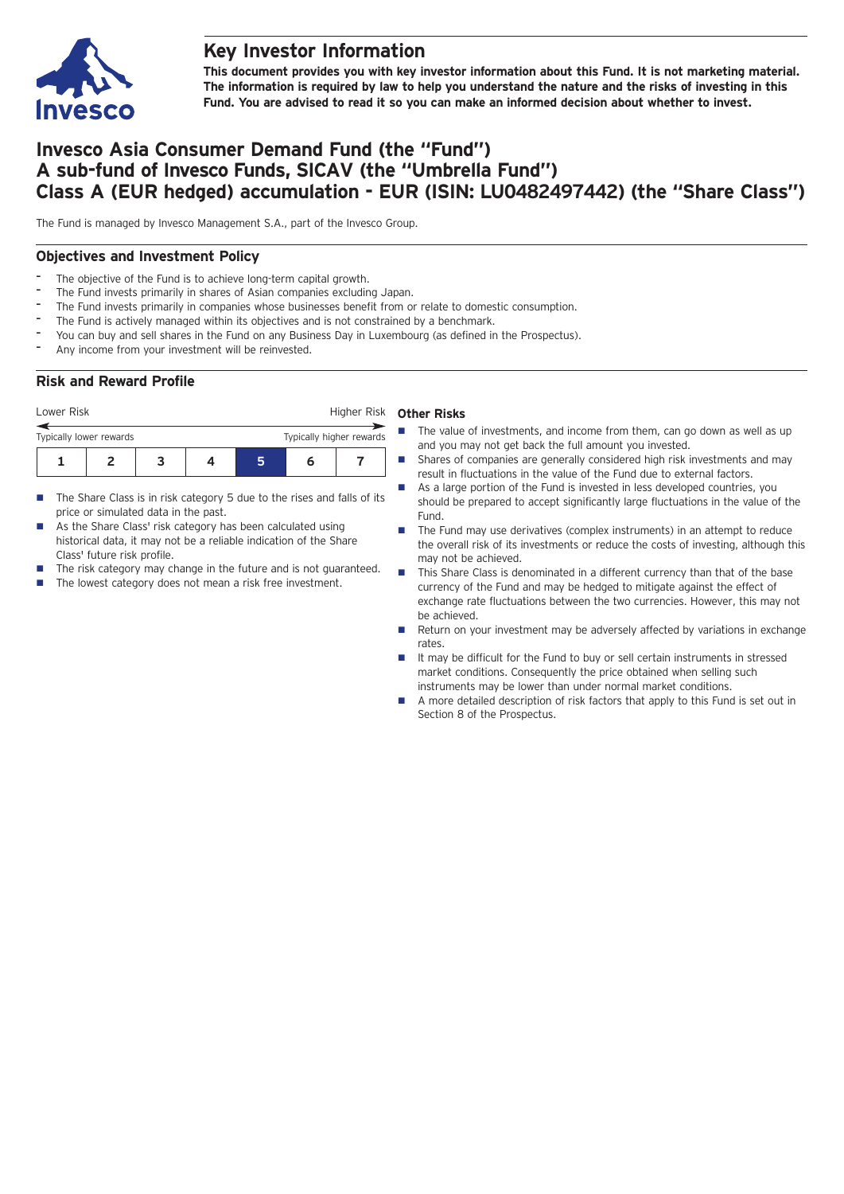

## **Key Investor Information**

**This document provides you with key investor information about this Fund. It is not marketing material.** The information is required by law to help you understand the nature and the risks of investing in this **Fund. You are advised to read it so you can make an informed decision about whether to invest.**

# **Invesco Asia Consumer Demand Fund (the "Fund") A sub-fund of Invesco Funds, SICAV (the "Umbrella Fund") Class A (EUR hedged) accumulation - EUR (ISIN: LU0482497442) (the "Share Class")**

The Fund is managed by Invesco Management S.A., part of the Invesco Group.

## **Objectives and Investment Policy**

- The objective of the Fund is to achieve long-term capital growth.
- The Fund invests primarily in shares of Asian companies excluding Japan.
- The Fund invests primarily in companies whose businesses benefit from or relate to domestic consumption.
- The Fund is actively managed within its objectives and is not constrained by a benchmark.
- You can buy and sell shares in the Fund on any Business Day in Luxembourg (as defined in the Prospectus).
- Any income from your investment will be reinvested.

## **Risk and Reward Profile**

| Lower Risk              |  |  |  |  | Higher Risk              |  |  |
|-------------------------|--|--|--|--|--------------------------|--|--|
| Typically lower rewards |  |  |  |  | Typically higher rewards |  |  |
|                         |  |  |  |  |                          |  |  |

- The Share Class is in risk category 5 due to the rises and falls of its price or simulated data in the past.
- As the Share Class' risk category has been calculated using historical data, it may not be a reliable indication of the Share Class' future risk profile.
- The risk category may change in the future and is not guaranteed.
- $\blacksquare$  The lowest category does not mean a risk free investment.

#### **Other Risks**

- The value of investments, and income from them, can go down as well as up and you may not get back the full amount you invested.
- Shares of companies are generally considered high risk investments and may result in fluctuations in the value of the Fund due to external factors.
	- As a large portion of the Fund is invested in less developed countries, you should be prepared to accept significantly large fluctuations in the value of the Fund.
- The Fund may use derivatives (complex instruments) in an attempt to reduce the overall risk of its investments or reduce the costs of investing, although this may not be achieved.
- This Share Class is denominated in a different currency than that of the base currency of the Fund and may be hedged to mitigate against the effect of exchange rate fluctuations between the two currencies. However, this may not be achieved.
- Return on your investment may be adversely affected by variations in exchange rates.
- It may be difficult for the Fund to buy or sell certain instruments in stressed market conditions. Consequently the price obtained when selling such instruments may be lower than under normal market conditions.
- A more detailed description of risk factors that apply to this Fund is set out in Section 8 of the Prospectus.